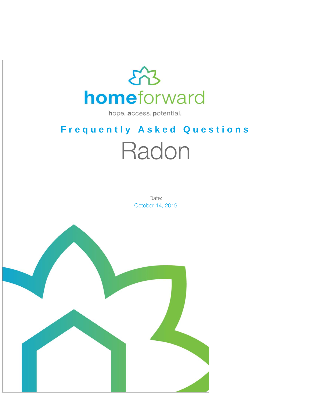

hope. access. potential.

# **F r e q u e n t l y A s k e d Q u e s t i o n s** Radon

Date: October 14, 2019

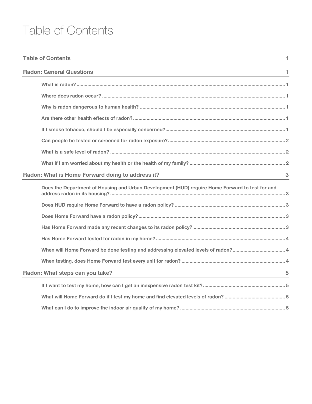# Table of Contents

| <b>Table of Contents</b>                                                                        | 1. |
|-------------------------------------------------------------------------------------------------|----|
| <b>Radon: General Questions</b>                                                                 | 1  |
|                                                                                                 |    |
|                                                                                                 |    |
|                                                                                                 |    |
|                                                                                                 |    |
|                                                                                                 |    |
|                                                                                                 |    |
|                                                                                                 |    |
|                                                                                                 |    |
| Radon: What is Home Forward doing to address it?                                                | 3  |
| Does the Department of Housing and Urban Development (HUD) require Home Forward to test for and |    |
|                                                                                                 |    |
|                                                                                                 |    |
|                                                                                                 |    |
|                                                                                                 |    |
|                                                                                                 |    |
|                                                                                                 |    |
| Radon: What steps can you take?                                                                 | 5  |
|                                                                                                 |    |
|                                                                                                 |    |
|                                                                                                 |    |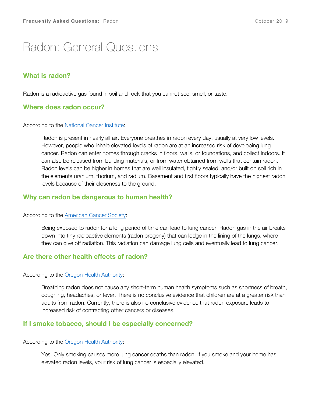# Radon: General Questions

# **What is radon?**

Radon is a radioactive gas found in soil and rock that you cannot see, smell, or taste.

### **Where does radon occur?**

#### According to the [National Cancer Institute:](https://www.cancer.gov/about-cancer/causes-prevention/risk/substances/radon/radon-fact-sheet)

Radon is present in nearly all air. Everyone breathes in radon every day, usually at very low levels. However, people who inhale elevated levels of radon are at an increased risk of developing lung cancer. Radon can enter homes through cracks in floors, walls, or foundations, and collect indoors. It can also be released from building materials, or from water obtained from wells that contain radon. Radon levels can be higher in homes that are well insulated, tightly sealed, and/or built on soil rich in the elements uranium, thorium, and radium. Basement and first floors typically have the highest radon levels because of their closeness to the ground.

### **Why can radon be dangerous to human health?**

#### According to the [American Cancer Society:](https://www.cancer.org/cancer/cancer-causes/radiation-exposure/radon.htmlhttps:/www.oregon.gov/oha/PH/HEALTHYENVIRONMENTS/HEALTHYNEIGHBORHOODS/RADONGAS/Pages/Radon-FAQs.aspx#health)

Being exposed to radon for a long period of time can lead to lung cancer. Radon gas in the air breaks down into tiny radioactive elements (radon progeny) that can lodge in the lining of the lungs, where they can give off radiation. This radiation can damage lung cells and eventually lead to lung cancer.

### **Are there other health effects of radon?**

#### According to the [Oregon Health Authority:](https://www.oregon.gov/oha/PH/HEALTHYENVIRONMENTS/HEALTHYNEIGHBORHOODS/RADONGAS/Pages/Radon-FAQs.aspx#health)

Breathing radon does not cause any short-term human health symptoms such as shortness of breath, coughing, headaches, or fever. There is no conclusive evidence that children are at a greater risk than adults from radon. Currently, there is also no conclusive evidence that radon exposure leads to increased risk of contracting other cancers or diseases.

### **If I smoke tobacco, should I be especially concerned?**

#### According to the [Oregon Health Authority:](https://www.oregon.gov/oha/PH/HEALTHYENVIRONMENTS/HEALTHYNEIGHBORHOODS/RADONGAS/Pages/Radon-FAQs.aspx#health)

Yes. Only smoking causes more lung cancer deaths than radon. If you smoke and your home has elevated radon levels, your risk of lung cancer is especially elevated.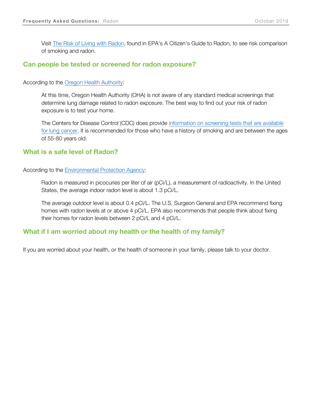Visit [The Risk of Living with Radon,](https://www.epa.gov/radon/health-risk-radon#riskcharts) found in EPA's A Citizen's Guide to Radon, to see risk comparison of smoking and radon.

### **Can people be tested or screened for radon exposure?**

According to the [Oregon Health Authority:](https://www.oregon.gov/oha/PH/HEALTHYENVIRONMENTS/HEALTHYNEIGHBORHOODS/RADONGAS/Pages/Radon-FAQs.aspx#health)

At this time, Oregon Health Authority (OHA) is not aware of any standard medical screenings that determine lung damage related to radon exposure. The best way to find out your risk of radon exposure is to test your home.

The Centers for Disease Control (CDC) does provide [information on screening tests that are available](https://www.cdc.gov/cancer/lung/basic_info/screening.htm)  [for lung cancer.](https://www.cdc.gov/cancer/lung/basic_info/screening.htm) It is recommended for those who have a history of smoking and are between the ages of 55-80 years old.

### **What is a safe level of Radon?**

According to the [Environmental Protection Agency:](https://www.epa.gov/radon/basic-radon-facts)

Radon is measured in picocuries per liter of air (pCi/L), a measurement of radioactivity. In the United States, the average indoor radon level is about 1.3 pCi/L.

The average outdoor level is about 0.4 pCi/L. The U.S. Surgeon General and EPA recommend fixing homes with radon levels at or above 4 pCi/L. EPA also recommends that people think about fixing their homes for radon levels between 2 pCi/L and 4 pCi/L.

### **What if I am worried about my health or the health of my family?**

If you are worried about your health, or the health of someone in your family, please talk to your doctor.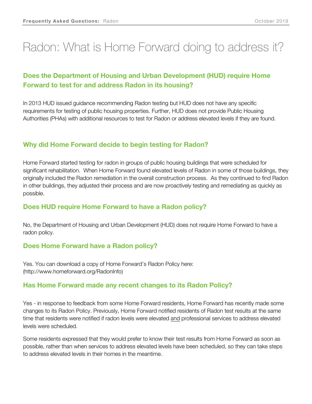# Radon: What is Home Forward doing to address it?

# **Does the Department of Housing and Urban Development (HUD) require Home Forward to test for and address Radon in its housing?**

In 2013 HUD issued guidance recommending Radon testing but HUD does not have any specific requirements for testing of public housing properties. Further, HUD does not provide Public Housing Authorities (PHAs) with additional resources to test for Radon or address elevated levels if they are found.

# **Why did Home Forward decide to begin testing for Radon?**

Home Forward started testing for radon in groups of public housing buildings that were scheduled for significant rehabilitation. When Home Forward found elevated levels of Radon in some of those buildings, they originally included the Radon remediation in the overall construction process. As they continued to find Radon in other buildings, they adjusted their process and are now proactively testing and remediating as quickly as possible.

# **Does HUD require Home Forward to have a Radon policy?**

No, the Department of Housing and Urban Development (HUD) does not require Home Forward to have a radon policy.

# **Does Home Forward have a Radon policy?**

Yes. You can download a copy of Home Forward's Radon Policy here: (http://www.homeforward.org/RadonInfo)

# **Has Home Forward made any recent changes to its Radon Policy?**

Yes - in response to feedback from some Home Forward residents, Home Forward has recently made some changes to its Radon Policy. Previously, Home Forward notified residents of Radon test results at the same time that residents were notified if radon levels were elevated and professional services to address elevated levels were scheduled.

Some residents expressed that they would prefer to know their test results from Home Forward as soon as possible, rather than when services to address elevated levels have been scheduled, so they can take steps to address elevated levels in their homes in the meantime.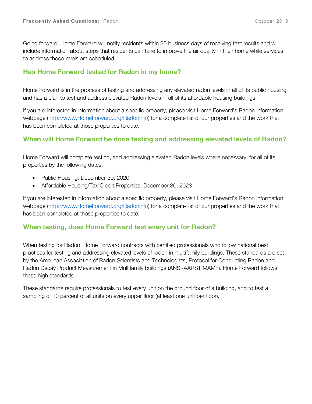Going forward, Home Forward will notify residents within 30 business days of receiving test results and will include information about steps that residents can take to improve the air quality in their home while services to address those levels are scheduled.

# **Has Home Forward tested for Radon in my home?**

Home Forward is in the process of testing and addressing any elevated radon levels in all of its public housing and has a plan to test and address elevated Radon levels in all of its affordable housing buildings.

If you are interested in information about a specific property, please visit Home Forward's Radon Information webpage [\(http://www.HomeForward.org/RadonInfo\)](http://www.homeforward.org/RadonInfo) for a complete list of our properties and the work that has been completed at those properties to date.

# **When will Home Forward be done testing and addressing elevated levels of Radon?**

Home Forward will complete testing, and addressing elevated Radon levels where necessary, for all of its properties by the following dates:

- Public Housing: December 30, 2020
- Affordable Housing/Tax Credit Properties: December 30, 2023

If you are interested in information about a specific property, please visit Home Forward's Radon Information webpage [\(http://www.HomeForward.org/RadonInfo\)](http://www.homeforward.org/RadonInfo) for a complete list of our properties and the work that has been completed at those properties to date.

# **When testing, does Home Forward test every unit for Radon?**

When testing for Radon, Home Forward contracts with certified professionals who follow national best practices for testing and addressing elevated levels of radon in multifamily buildings. These standards are set by the American Association of Radon Scientists and Technologists, Protocol for Conducting Radon and Radon Decay Product Measurement in Multifamily buildings (ANSI-AARST MAMF). Home Forward follows these high standards.

These standards require professionals to test every unit on the ground floor of a building, and to test a sampling of 10 percent of all units on every upper floor (at least one unit per floor).